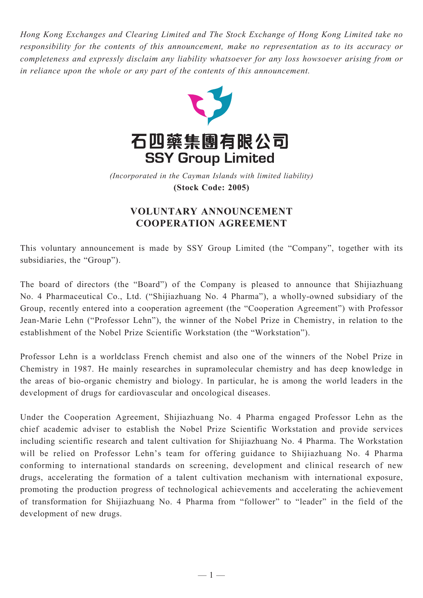*Hong Kong Exchanges and Clearing Limited and The Stock Exchange of Hong Kong Limited take no responsibility for the contents of this announcement, make no representation as to its accuracy or completeness and expressly disclaim any liability whatsoever for any loss howsoever arising from or in reliance upon the whole or any part of the contents of this announcement.*



*(Incorporated in the Cayman Islands with limited liability)* **(Stock Code: 2005)**

## **VOLUNTARY ANNOUNCEMENT COOPERATION AGREEMENT**

This voluntary announcement is made by SSY Group Limited (the "Company", together with its subsidiaries, the "Group").

The board of directors (the "Board") of the Company is pleased to announce that Shijiazhuang No. 4 Pharmaceutical Co., Ltd. ("Shijiazhuang No. 4 Pharma"), a wholly-owned subsidiary of the Group, recently entered into a cooperation agreement (the "Cooperation Agreement") with Professor Jean-Marie Lehn ("Professor Lehn"), the winner of the Nobel Prize in Chemistry, in relation to the establishment of the Nobel Prize Scientific Workstation (the "Workstation").

Professor Lehn is a worldclass French chemist and also one of the winners of the Nobel Prize in Chemistry in 1987. He mainly researches in supramolecular chemistry and has deep knowledge in the areas of bio-organic chemistry and biology. In particular, he is among the world leaders in the development of drugs for cardiovascular and oncological diseases.

Under the Cooperation Agreement, Shijiazhuang No. 4 Pharma engaged Professor Lehn as the chief academic adviser to establish the Nobel Prize Scientific Workstation and provide services including scientific research and talent cultivation for Shijiazhuang No. 4 Pharma. The Workstation will be relied on Professor Lehn's team for offering guidance to Shijiazhuang No. 4 Pharma conforming to international standards on screening, development and clinical research of new drugs, accelerating the formation of a talent cultivation mechanism with international exposure, promoting the production progress of technological achievements and accelerating the achievement of transformation for Shijiazhuang No. 4 Pharma from "follower" to "leader" in the field of the development of new drugs.